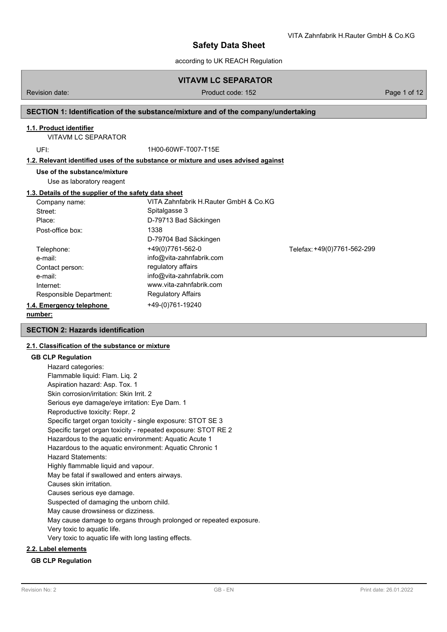$\mathbf{v}$   $\mathbf{v}$   $\mathbf{v}$  and  $\mathbf{v}$  and  $\mathbf{v}$  and  $\mathbf{v}$ 

according to UK REACH Regulation

# **VITAVM LC SEPARATOR**

## Revision date: Product code: 152 Page 1 of 12

## **SECTION 1: Identification of the substance/mixture and of the company/undertaking**

### **1.1. Product identifier**

VITAVM LC SEPARATOR

UFI: 1H00-60WF-T007-T15E

## **1.2. Relevant identified uses of the substance or mixture and uses advised against**

**Use of the substance/mixture**

Use as laboratory reagent

## **1.3. Details of the supplier of the safety data sheet**

| Company name:            | VITA Zahnfabrik H.Rauter GmbH & Co.KG |                             |
|--------------------------|---------------------------------------|-----------------------------|
| Street:                  | Spitalgasse 3                         |                             |
| Place:                   | D-79713 Bad Säckingen                 |                             |
| Post-office box:         | 1338                                  |                             |
|                          | D-79704 Bad Säckingen                 |                             |
| Telephone:               | +49(0)7761-562-0                      | Telefax: +49(0)7761-562-299 |
| e-mail:                  | info@vita-zahnfabrik.com              |                             |
| Contact person:          | regulatory affairs                    |                             |
| e-mail:                  | info@vita-zahnfabrik.com              |                             |
| Internet:                | www.vita-zahnfabrik.com               |                             |
| Responsible Department:  | <b>Regulatory Affairs</b>             |                             |
| 1.4. Emergency telephone | +49-(0)761-19240                      |                             |
|                          |                                       |                             |

### **number:**

## **SECTION 2: Hazards identification**

## **2.1. Classification of the substance or mixture**

## **GB CLP Regulation**

| Hazard categories:                                                 |
|--------------------------------------------------------------------|
| Flammable liquid: Flam. Liq. 2                                     |
| Aspiration hazard: Asp. Tox. 1                                     |
| Skin corrosion/irritation: Skin Irrit. 2                           |
| Serious eye damage/eye irritation: Eye Dam. 1                      |
| Reproductive toxicity: Repr. 2                                     |
| Specific target organ toxicity - single exposure: STOT SE 3        |
| Specific target organ toxicity - repeated exposure: STOT RE 2      |
| Hazardous to the aquatic environment: Aquatic Acute 1              |
| Hazardous to the aquatic environment: Aquatic Chronic 1            |
| <b>Hazard Statements:</b>                                          |
| Highly flammable liquid and vapour.                                |
| May be fatal if swallowed and enters airways.                      |
| Causes skin irritation.                                            |
| Causes serious eye damage.                                         |
| Suspected of damaging the unborn child.                            |
| May cause drowsiness or dizziness.                                 |
| May cause damage to organs through prolonged or repeated exposure. |
| Very toxic to aquatic life.                                        |
| Very toxic to aquatic life with long lasting effects.              |
|                                                                    |

## **2.2. Label elements**

### **GB CLP Regulation**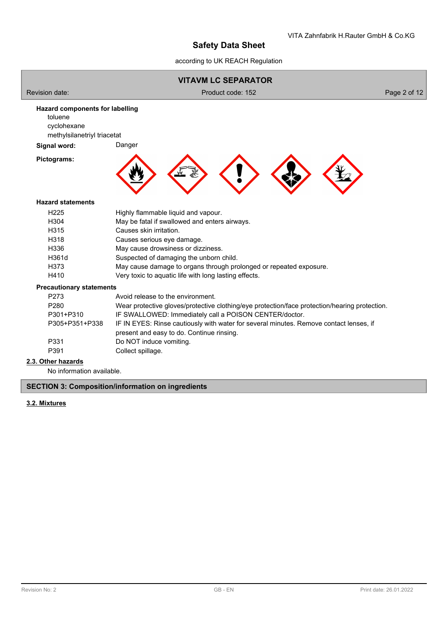according to UK REACH Regulation



# **2.3. Other hazards**

No information available.

## **SECTION 3: Composition/information on ingredients**

## **3.2. Mixtures**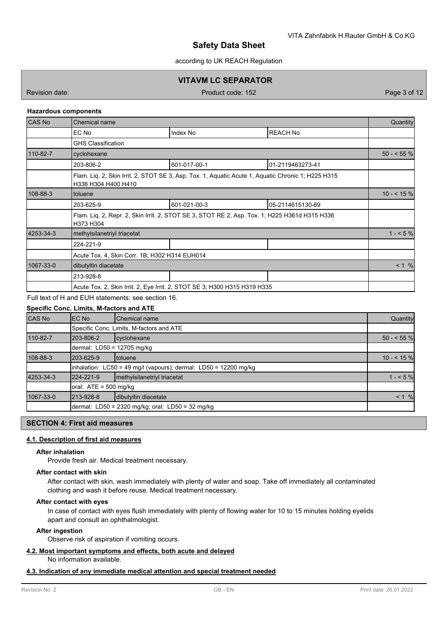according to UK REACH Regulation

## **VITAVM LC SEPARATOR**

Revision date: Product code: 152 Page 3 of 12

### **Hazardous components**

| <b>CAS No</b> | Chemical name                                                                                              |                                                                                                    |                  |              |  |
|---------------|------------------------------------------------------------------------------------------------------------|----------------------------------------------------------------------------------------------------|------------------|--------------|--|
|               | EC No                                                                                                      | Index No                                                                                           | <b>REACH No</b>  |              |  |
|               | <b>GHS Classification</b>                                                                                  |                                                                                                    |                  |              |  |
| 110-82-7      | cyclohexane                                                                                                |                                                                                                    |                  | $50 - 55 \%$ |  |
|               | 203-806-2                                                                                                  | 601-017-00-1                                                                                       | 01-2119463273-41 |              |  |
|               | H336 H304 H400 H410                                                                                        | Flam. Lig. 2, Skin Irrit. 2, STOT SE 3, Asp. Tox. 1, Aguatic Acute 1, Aguatic Chronic 1; H225 H315 |                  |              |  |
| 108-88-3      | toluene                                                                                                    |                                                                                                    |                  |              |  |
|               | 203-625-9                                                                                                  | 601-021-00-3                                                                                       | 05-2114615130-69 |              |  |
|               | Flam. Liq. 2, Repr. 2, Skin Irrit. 2, STOT SE 3, STOT RE 2, Asp. Tox. 1; H225 H361d H315 H336<br>H373 H304 |                                                                                                    |                  |              |  |
| 4253-34-3     | methylsilanetriyl triacetat                                                                                | $1 - 5%$                                                                                           |                  |              |  |
|               | 224-221-9                                                                                                  |                                                                                                    |                  |              |  |
|               | Acute Tox. 4, Skin Corr. 1B; H302 H314 EUH014                                                              |                                                                                                    |                  |              |  |
| 1067-33-0     | dibutyltin diacetate                                                                                       |                                                                                                    |                  |              |  |
|               | 213-928-8                                                                                                  |                                                                                                    |                  |              |  |
|               | Acute Tox. 2, Skin Irrit. 2, Eye Irrit. 2, STOT SE 3; H300 H315 H319 H335                                  |                                                                                                    |                  |              |  |
|               |                                                                                                            |                                                                                                    |                  |              |  |

Full text of H and EUH statements: see section 16.

## **Specific Conc. Limits, M-factors and ATE**

| <b>CAS No</b> | EC No                                                                | <b>Chemical name</b>                             | Quantity    |  |  |  |
|---------------|----------------------------------------------------------------------|--------------------------------------------------|-------------|--|--|--|
|               |                                                                      | Specific Conc. Limits, M-factors and ATE         |             |  |  |  |
| 110-82-7      | 203-806-2                                                            | cyclohexane                                      | $50 - 55$ % |  |  |  |
|               |                                                                      | dermal: LD50 = 12705 mg/kg                       |             |  |  |  |
| 108-88-3      | 203-625-9                                                            | <b>Itoluene</b>                                  | $10 - 55$ % |  |  |  |
|               | inhalation: $LC50 = 49$ mg/l (vapours); dermal: $LD50 = 12200$ mg/kg |                                                  |             |  |  |  |
| 4253-34-3     | 224-221-9                                                            | methylsilanetriyl triacetat                      | $1 - 5%$    |  |  |  |
|               | oral: $ATE = 500$ mg/kg                                              |                                                  |             |  |  |  |
| 1067-33-0     | 213-928-8                                                            | dibutyltin diacetate                             | $< 1 \%$    |  |  |  |
|               |                                                                      | dermal: LD50 = 2320 mg/kg; oral: LD50 = 32 mg/kg |             |  |  |  |

## **SECTION 4: First aid measures**

## **4.1. Description of first aid measures**

## **After inhalation**

Provide fresh air. Medical treatment necessary.

#### **After contact with skin**

After contact with skin, wash immediately with plenty of water and soap. Take off immediately all contaminated clothing and wash it before reuse. Medical treatment necessary.

### **After contact with eyes**

In case of contact with eyes flush immediately with plenty of flowing water for 10 to 15 minutes holding eyelids apart and consult an ophthalmologist.

## **After ingestion**

Observe risk of aspiration if vomiting occurs.

### **4.2. Most important symptoms and effects, both acute and delayed**

No information available.

## **4.3. Indication of any immediate medical attention and special treatment needed**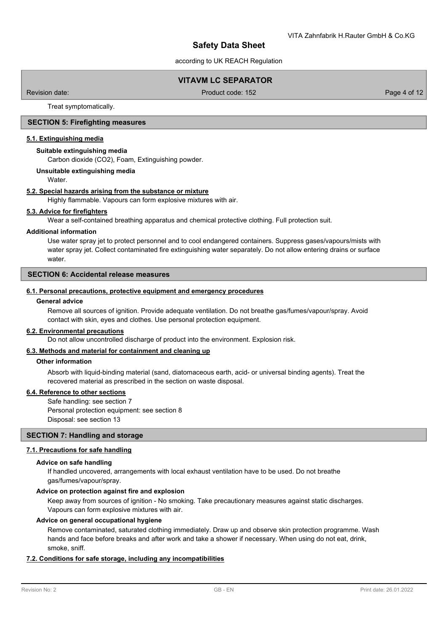according to UK REACH Regulation

## **VITAVM LC SEPARATOR**

Revision date: Product code: 152 Page 4 of 12

Treat symptomatically.

## **SECTION 5: Firefighting measures**

### **5.1. Extinguishing media**

### **Suitable extinguishing media**

Carbon dioxide (CO2), Foam, Extinguishing powder.

### **Unsuitable extinguishing media**

Water.

### **5.2. Special hazards arising from the substance or mixture**

Highly flammable. Vapours can form explosive mixtures with air.

### **5.3. Advice for firefighters**

Wear a self-contained breathing apparatus and chemical protective clothing. Full protection suit.

### **Additional information**

Use water spray jet to protect personnel and to cool endangered containers. Suppress gases/vapours/mists with water spray jet. Collect contaminated fire extinguishing water separately. Do not allow entering drains or surface water.

## **SECTION 6: Accidental release measures**

### **6.1. Personal precautions, protective equipment and emergency procedures**

### **General advice**

Remove all sources of ignition. Provide adequate ventilation. Do not breathe gas/fumes/vapour/spray. Avoid contact with skin, eyes and clothes. Use personal protection equipment.

### **6.2. Environmental precautions**

Do not allow uncontrolled discharge of product into the environment. Explosion risk.

### **6.3. Methods and material for containment and cleaning up**

### **Other information**

Absorb with liquid-binding material (sand, diatomaceous earth, acid- or universal binding agents). Treat the recovered material as prescribed in the section on waste disposal.

## **6.4. Reference to other sections**

Safe handling: see section 7 Personal protection equipment: see section 8 Disposal: see section 13

## **SECTION 7: Handling and storage**

## **7.1. Precautions for safe handling**

## **Advice on safe handling**

If handled uncovered, arrangements with local exhaust ventilation have to be used. Do not breathe gas/fumes/vapour/spray.

## **Advice on protection against fire and explosion**

Keep away from sources of ignition - No smoking. Take precautionary measures against static discharges. Vapours can form explosive mixtures with air.

### **Advice on general occupational hygiene**

Remove contaminated, saturated clothing immediately. Draw up and observe skin protection programme. Wash hands and face before breaks and after work and take a shower if necessary. When using do not eat, drink, smoke, sniff.

## **7.2. Conditions for safe storage, including any incompatibilities**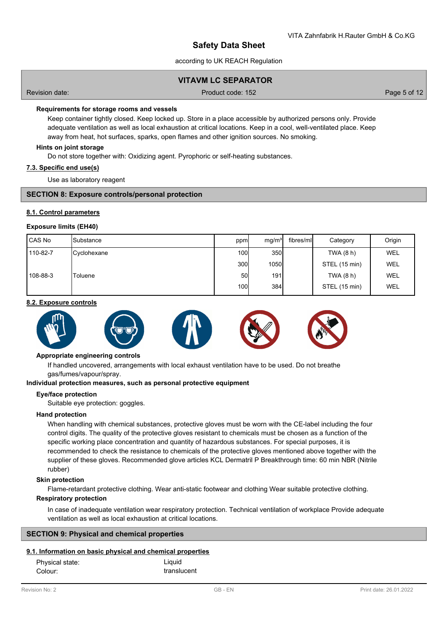according to UK REACH Regulation

## **VITAVM LC SEPARATOR**

Revision date: Product code: 152 Page 5 of 12

### **Requirements for storage rooms and vessels**

Keep container tightly closed. Keep locked up. Store in a place accessible by authorized persons only. Provide adequate ventilation as well as local exhaustion at critical locations. Keep in a cool, well-ventilated place. Keep away from heat, hot surfaces, sparks, open flames and other ignition sources. No smoking.

### **Hints on joint storage**

Do not store together with: Oxidizing agent. Pyrophoric or self-heating substances.

### **7.3. Specific end use(s)**

Use as laboratory reagent

## **SECTION 8: Exposure controls/personal protection**

### **8.1. Control parameters**

### **Exposure limits (EH40)**

| l CAS No | <b>I</b> Substance | ppm              | mq/m <sup>3</sup> | fibres/ml | Category      | Origin     |
|----------|--------------------|------------------|-------------------|-----------|---------------|------------|
| 110-82-7 | <b>Cyclohexane</b> | 100 <sup>1</sup> | 350               |           | TWA (8 h)     | <b>WEL</b> |
|          |                    | 300l             | 1050              |           | STEL (15 min) | <b>WEL</b> |
| 108-88-3 | Toluene            | 50I              | 191               |           | TWA (8 h)     | <b>WEL</b> |
|          |                    | 100 <b>l</b>     | 384               |           | STEL (15 min) | <b>WEL</b> |

#### **8.2. Exposure controls**



### **Appropriate engineering controls**

If handled uncovered, arrangements with local exhaust ventilation have to be used. Do not breathe gas/fumes/vapour/spray.

#### **Individual protection measures, such as personal protective equipment**

## **Eye/face protection**

Suitable eye protection: goggles.

## **Hand protection**

When handling with chemical substances, protective gloves must be worn with the CE-label including the four control digits. The quality of the protective gloves resistant to chemicals must be chosen as a function of the specific working place concentration and quantity of hazardous substances. For special purposes, it is recommended to check the resistance to chemicals of the protective gloves mentioned above together with the supplier of these gloves. Recommended glove articles KCL Dermatril P Breakthrough time: 60 min NBR (Nitrile rubber)

#### **Skin protection**

Flame-retardant protective clothing. Wear anti-static footwear and clothing Wear suitable protective clothing.

### **Respiratory protection**

In case of inadequate ventilation wear respiratory protection. Technical ventilation of workplace Provide adequate ventilation as well as local exhaustion at critical locations.

### **SECTION 9: Physical and chemical properties**

## **9.1. Information on basic physical and chemical properties**

| Physical state: | Liquid      |
|-----------------|-------------|
| Colour:         | translucent |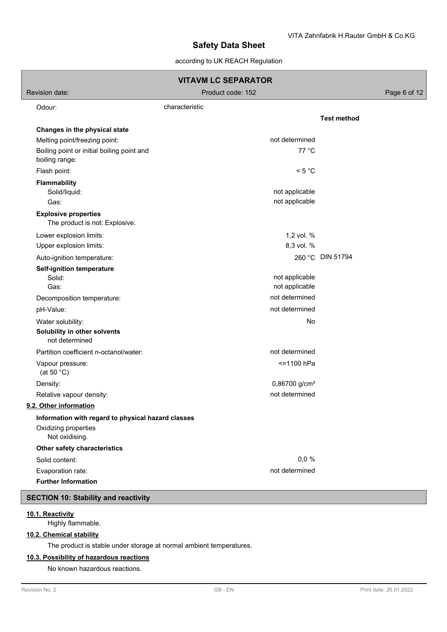## according to UK REACH Regulation

| <b>VITAVM LC SEPARATOR</b>                                    |                                  |                    |  |  |  |
|---------------------------------------------------------------|----------------------------------|--------------------|--|--|--|
| Revision date:<br>Product code: 152                           |                                  |                    |  |  |  |
| Odour:                                                        | characteristic                   |                    |  |  |  |
|                                                               |                                  | <b>Test method</b> |  |  |  |
| Changes in the physical state                                 |                                  |                    |  |  |  |
| Melting point/freezing point:                                 | not determined                   |                    |  |  |  |
| Boiling point or initial boiling point and<br>boiling range:  | 77 °C                            |                    |  |  |  |
| Flash point:                                                  | < 5 °C                           |                    |  |  |  |
| <b>Flammability</b>                                           |                                  |                    |  |  |  |
| Solid/liquid:                                                 | not applicable                   |                    |  |  |  |
| Gas:                                                          | not applicable                   |                    |  |  |  |
| <b>Explosive properties</b><br>The product is not: Explosive. |                                  |                    |  |  |  |
| Lower explosion limits:                                       | 1,2 vol. %                       |                    |  |  |  |
| Upper explosion limits:                                       | 8,3 vol. %                       |                    |  |  |  |
| Auto-ignition temperature:                                    |                                  | 260 °C DIN 51794   |  |  |  |
| Self-ignition temperature                                     |                                  |                    |  |  |  |
| Solid:                                                        | not applicable                   |                    |  |  |  |
| Gas:                                                          | not applicable<br>not determined |                    |  |  |  |
| Decomposition temperature:                                    |                                  |                    |  |  |  |
| pH-Value:                                                     | not determined                   |                    |  |  |  |
| Water solubility:                                             | No                               |                    |  |  |  |
| Solubility in other solvents<br>not determined                |                                  |                    |  |  |  |
| Partition coefficient n-octanol/water:                        | not determined                   |                    |  |  |  |
| Vapour pressure:<br>(at 50 $°C$ )                             | <=1100 hPa                       |                    |  |  |  |
| Density:                                                      | $0,86700$ g/cm <sup>3</sup>      |                    |  |  |  |
| Relative vapour density:                                      | not determined                   |                    |  |  |  |
| 9.2. Other information                                        |                                  |                    |  |  |  |
| Information with regard to physical hazard classes            |                                  |                    |  |  |  |
| Oxidizing properties<br>Not oxidising.                        |                                  |                    |  |  |  |
| Other safety characteristics                                  |                                  |                    |  |  |  |
| Solid content:                                                | 0,0%                             |                    |  |  |  |
| Evaporation rate:                                             | not determined                   |                    |  |  |  |
| <b>Further Information</b>                                    |                                  |                    |  |  |  |
| <b>SECTION 10: Stability and reactivity</b>                   |                                  |                    |  |  |  |
|                                                               |                                  |                    |  |  |  |

## **10.1. Reactivity**

Highly flammable.

## **10.2. Chemical stability**

The product is stable under storage at normal ambient temperatures.

## **10.3. Possibility of hazardous reactions**

No known hazardous reactions.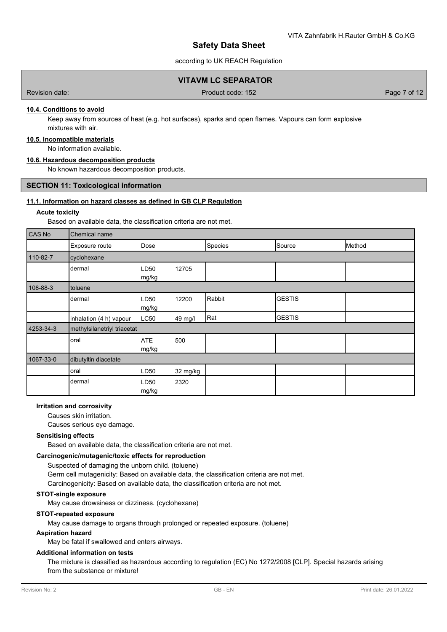according to UK REACH Regulation

## **VITAVM LC SEPARATOR**

Revision date: Product code: 152 Page 7 of 12

## **10.4. Conditions to avoid**

Keep away from sources of heat (e.g. hot surfaces), sparks and open flames. Vapours can form explosive mixtures with air.

### **10.5. Incompatible materials**

No information available.

## **10.6. Hazardous decomposition products**

No known hazardous decomposition products.

## **SECTION 11: Toxicological information**

## **11.1. Information on hazard classes as defined in GB CLP Regulation**

### **Acute toxicity**

Based on available data, the classification criteria are not met.

| CAS No    | Chemical name               |                           |          |         |                |        |  |
|-----------|-----------------------------|---------------------------|----------|---------|----------------|--------|--|
|           | Exposure route              | Dose                      |          | Species | Source         | Method |  |
| 110-82-7  | cyclohexane                 |                           |          |         |                |        |  |
|           | dermal                      | LD <sub>50</sub><br>mg/kg | 12705    |         |                |        |  |
| 108-88-3  | toluene                     |                           |          |         |                |        |  |
|           | dermal                      | LD <sub>50</sub><br>mg/kg | 12200    | Rabbit  | <b>IGESTIS</b> |        |  |
|           | inhalation (4 h) vapour     | LC50                      | 49 mg/l  | Rat     | <b>GESTIS</b>  |        |  |
| 4253-34-3 | methylsilanetriyl triacetat |                           |          |         |                |        |  |
|           | oral                        | <b>ATE</b><br>mg/kg       | 500      |         |                |        |  |
| 1067-33-0 | dibutyltin diacetate        |                           |          |         |                |        |  |
|           | oral                        | LD <sub>50</sub>          | 32 mg/kg |         |                |        |  |
|           | dermal                      | LD <sub>50</sub><br>mg/kg | 2320     |         |                |        |  |

### **Irritation and corrosivity**

Causes skin irritation.

Causes serious eye damage.

## **Sensitising effects**

Based on available data, the classification criteria are not met.

### **Carcinogenic/mutagenic/toxic effects for reproduction**

Suspected of damaging the unborn child. (toluene) Germ cell mutagenicity: Based on available data, the classification criteria are not met. Carcinogenicity: Based on available data, the classification criteria are not met.

## **STOT-single exposure**

May cause drowsiness or dizziness. (cyclohexane)

#### **STOT-repeated exposure**

May cause damage to organs through prolonged or repeated exposure. (toluene)

### **Aspiration hazard**

May be fatal if swallowed and enters airways.

#### **Additional information on tests**

The mixture is classified as hazardous according to regulation (EC) No 1272/2008 [CLP]. Special hazards arising from the substance or mixture!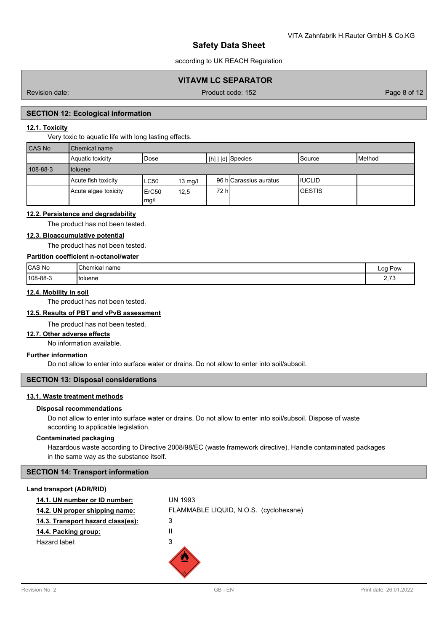according to UK REACH Regulation

## **VITAVM LC SEPARATOR**

Revision date: Product code: 152 Page 8 of 12

## **SECTION 12: Ecological information**

## **12.1. Toxicity**

Very toxic to aquatic life with long lasting effects.

| <b>CAS No</b> | Chemical name        |                                   |                        |         |        |  |  |
|---------------|----------------------|-----------------------------------|------------------------|---------|--------|--|--|
|               | Aquatic toxicity     | Dose                              | $[h]   [d]$ Species    | lSource | Method |  |  |
| 108-88-3      | I toluene            |                                   |                        |         |        |  |  |
|               | Acute fish toxicity  | LC50<br>$13 \text{ mg/l}$         | 96 hlCarassius auratus | IIUCLID |        |  |  |
|               | Acute algae toxicity | ErC <sub>50</sub><br>12,5<br>mg/l | 72 hl                  | IGESTIS |        |  |  |

## **12.2. Persistence and degradability**

The product has not been tested.

## **12.3. Bioaccumulative potential**

The product has not been tested.

## **Partition coefficient n-octanol/water**

| CAS No   | "Chemical i.<br>name | Loa<br><b>Pow</b>          |
|----------|----------------------|----------------------------|
| 108-88-3 | 'toluene             | <b>070</b><br>$\sim, \sim$ |

## **12.4. Mobility in soil**

The product has not been tested.

## **12.5. Results of PBT and vPvB assessment**

The product has not been tested.

### **12.7. Other adverse effects**

No information available.

## **Further information**

Do not allow to enter into surface water or drains. Do not allow to enter into soil/subsoil.

## **SECTION 13: Disposal considerations**

## **13.1. Waste treatment methods**

### **Disposal recommendations**

Do not allow to enter into surface water or drains. Do not allow to enter into soil/subsoil. Dispose of waste according to applicable legislation.

### **Contaminated packaging**

Hazardous waste according to Directive 2008/98/EC (waste framework directive). Handle contaminated packages in the same way as the substance itself.

### **SECTION 14: Transport information**

### **Land transport (ADR/RID)**

| 14.1. UN number or ID number:     | <b>UN 1993</b>                         |
|-----------------------------------|----------------------------------------|
| 14.2. UN proper shipping name:    | FLAMMABLE LIQUID, N.O.S. (cyclohexane) |
| 14.3. Transport hazard class(es): | 3                                      |
| 14.4. Packing group:              | Ш                                      |
| Hazard label:                     | 3                                      |
|                                   |                                        |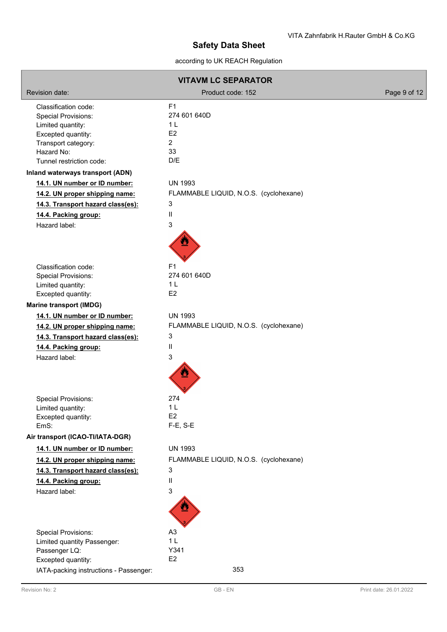according to UK REACH Regulation

| <b>VITAVM LC SEPARATOR</b>                                |                                        |              |  |  |
|-----------------------------------------------------------|----------------------------------------|--------------|--|--|
| Revision date:                                            | Product code: 152                      | Page 9 of 12 |  |  |
| Classification code:                                      | F1                                     |              |  |  |
| <b>Special Provisions:</b>                                | 274 601 640D                           |              |  |  |
| Limited quantity:                                         | 1 <sub>L</sub>                         |              |  |  |
| Excepted quantity:                                        | E <sub>2</sub><br>$\overline{2}$       |              |  |  |
| Transport category:<br>Hazard No:                         | 33                                     |              |  |  |
| Tunnel restriction code:                                  | D/E                                    |              |  |  |
| Inland waterways transport (ADN)                          |                                        |              |  |  |
| 14.1. UN number or ID number:                             | <b>UN 1993</b>                         |              |  |  |
| 14.2. UN proper shipping name:                            | FLAMMABLE LIQUID, N.O.S. (cyclohexane) |              |  |  |
| 14.3. Transport hazard class(es):                         | 3                                      |              |  |  |
| 14.4. Packing group:                                      | $\ensuremath{\mathsf{II}}$             |              |  |  |
| Hazard label:                                             | 3                                      |              |  |  |
|                                                           |                                        |              |  |  |
|                                                           |                                        |              |  |  |
| Classification code:                                      | F <sub>1</sub>                         |              |  |  |
| <b>Special Provisions:</b>                                | 274 601 640D                           |              |  |  |
| Limited quantity:                                         | 1 <sub>L</sub>                         |              |  |  |
| Excepted quantity:                                        | E <sub>2</sub>                         |              |  |  |
| <b>Marine transport (IMDG)</b>                            |                                        |              |  |  |
| 14.1. UN number or ID number:                             | <b>UN 1993</b>                         |              |  |  |
| 14.2. UN proper shipping name:                            | FLAMMABLE LIQUID, N.O.S. (cyclohexane) |              |  |  |
| 14.3. Transport hazard class(es):                         | 3                                      |              |  |  |
| 14.4. Packing group:                                      | Ш                                      |              |  |  |
| Hazard label:                                             | 3                                      |              |  |  |
|                                                           |                                        |              |  |  |
|                                                           |                                        |              |  |  |
| <b>Special Provisions:</b>                                | 274                                    |              |  |  |
| Limited quantity:                                         | 1 <sub>L</sub>                         |              |  |  |
| Excepted quantity:<br>EmS:                                | E <sub>2</sub><br>F-E, S-E             |              |  |  |
| Air transport (ICAO-TI/IATA-DGR)                          |                                        |              |  |  |
| 14.1. UN number or ID number:                             | <b>UN 1993</b>                         |              |  |  |
| 14.2. UN proper shipping name:                            | FLAMMABLE LIQUID, N.O.S. (cyclohexane) |              |  |  |
| 14.3. Transport hazard class(es):                         | 3                                      |              |  |  |
| 14.4. Packing group:                                      | Ш                                      |              |  |  |
| Hazard label:                                             | 3                                      |              |  |  |
|                                                           |                                        |              |  |  |
|                                                           |                                        |              |  |  |
| <b>Special Provisions:</b><br>Limited quantity Passenger: | A <sub>3</sub><br>1 <sub>L</sub>       |              |  |  |
| Passenger LQ:                                             | Y341                                   |              |  |  |
| Excepted quantity:                                        | E2                                     |              |  |  |
| IATA-packing instructions - Passenger:                    | 353                                    |              |  |  |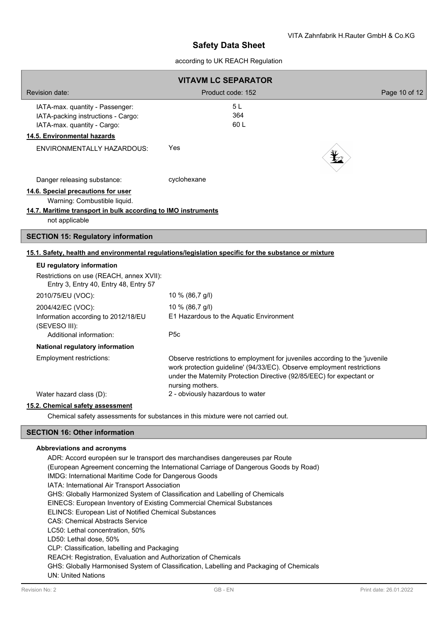## according to UK REACH Regulation

| <b>VITAVM LC SEPARATOR</b>                                                                                                                            |                                                                                                                                                                                                                                                    |               |  |
|-------------------------------------------------------------------------------------------------------------------------------------------------------|----------------------------------------------------------------------------------------------------------------------------------------------------------------------------------------------------------------------------------------------------|---------------|--|
| Revision date:                                                                                                                                        | Product code: 152                                                                                                                                                                                                                                  | Page 10 of 12 |  |
| IATA-max. quantity - Passenger:<br>IATA-packing instructions - Cargo:<br>IATA-max. quantity - Cargo:<br>14.5. Environmental hazards                   | 5 L<br>364<br>60 L                                                                                                                                                                                                                                 |               |  |
| <b>ENVIRONMENTALLY HAZARDOUS:</b>                                                                                                                     | Yes                                                                                                                                                                                                                                                |               |  |
| Danger releasing substance:                                                                                                                           | cyclohexane                                                                                                                                                                                                                                        |               |  |
| 14.6. Special precautions for user<br>Warning: Combustible liquid.<br>14.7. Maritime transport in bulk according to IMO instruments<br>not applicable |                                                                                                                                                                                                                                                    |               |  |
| <b>SECTION 15: Regulatory information</b>                                                                                                             |                                                                                                                                                                                                                                                    |               |  |
|                                                                                                                                                       | 15.1. Safety, health and environmental regulations/legislation specific for the substance or mixture                                                                                                                                               |               |  |
| EU regulatory information<br>Restrictions on use (REACH, annex XVII):<br>Entry 3, Entry 40, Entry 48, Entry 57                                        |                                                                                                                                                                                                                                                    |               |  |
| 2010/75/EU (VOC):                                                                                                                                     | 10 % (86,7 g/l)                                                                                                                                                                                                                                    |               |  |
| 2004/42/EC (VOC):<br>Information according to 2012/18/EU<br>(SEVESO III):<br>Additional information:                                                  | 10 % (86,7 g/l)<br>E1 Hazardous to the Aquatic Environment<br>P <sub>5c</sub>                                                                                                                                                                      |               |  |
| National regulatory information                                                                                                                       |                                                                                                                                                                                                                                                    |               |  |
| Employment restrictions:                                                                                                                              | Observe restrictions to employment for juveniles according to the 'juvenile<br>work protection guideline' (94/33/EC). Observe employment restrictions<br>under the Maternity Protection Directive (92/85/EEC) for expectant or<br>nursing mothers. |               |  |
| Water hazard class (D):                                                                                                                               | 2 - obviously hazardous to water                                                                                                                                                                                                                   |               |  |
| 15.2. Chemical safety assessment                                                                                                                      |                                                                                                                                                                                                                                                    |               |  |
| Chemical safety assessments for substances in this mixture were not carried out.                                                                      |                                                                                                                                                                                                                                                    |               |  |
| <b>SECTION 16: Other information</b>                                                                                                                  |                                                                                                                                                                                                                                                    |               |  |
|                                                                                                                                                       |                                                                                                                                                                                                                                                    |               |  |

### **Abbreviations and acronyms**

ADR: Accord européen sur le transport des marchandises dangereuses par Route (European Agreement concerning the International Carriage of Dangerous Goods by Road) IMDG: International Maritime Code for Dangerous Goods IATA: International Air Transport Association GHS: Globally Harmonized System of Classification and Labelling of Chemicals EINECS: European Inventory of Existing Commercial Chemical Substances ELINCS: European List of Notified Chemical Substances CAS: Chemical Abstracts Service LC50: Lethal concentration, 50% LD50: Lethal dose, 50% CLP: Classification, labelling and Packaging REACH: Registration, Evaluation and Authorization of Chemicals GHS: Globally Harmonised System of Classification, Labelling and Packaging of Chemicals UN: United Nations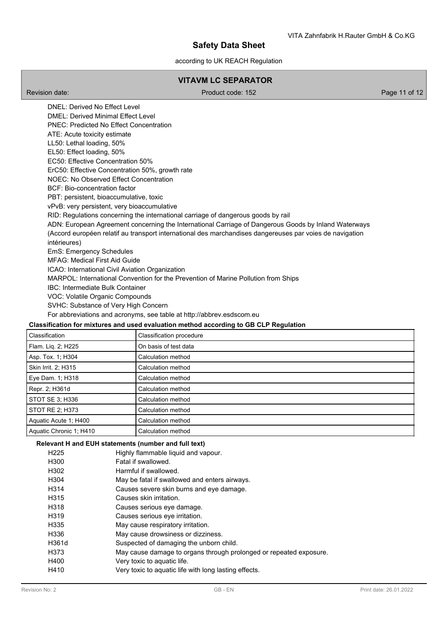## according to UK REACH Regulation

## **VITAVM LC SEPARATOR**

Revision date: Product code: 152 Page 11 of 12

DNEL: Derived No Effect Level DMEL: Derived Minimal Effect Level PNEC: Predicted No Effect Concentration ATE: Acute toxicity estimate LL50: Lethal loading, 50% EL50: Effect loading, 50% EC50: Effective Concentration 50% ErC50: Effective Concentration 50%, growth rate NOEC: No Observed Effect Concentration BCF: Bio-concentration factor PBT: persistent, bioaccumulative, toxic vPvB: very persistent, very bioaccumulative RID: Regulations concerning the international carriage of dangerous goods by rail ADN: European Agreement concerning the International Carriage of Dangerous Goods by Inland Waterways (Accord européen relatif au transport international des marchandises dangereuses par voies de navigation intérieures) EmS: Emergency Schedules MFAG: Medical First Aid Guide ICAO: International Civil Aviation Organization MARPOL: International Convention for the Prevention of Marine Pollution from Ships IBC: Intermediate Bulk Container VOC: Volatile Organic Compounds SVHC: Substance of Very High Concern For abbreviations and acronyms, see table at http://abbrev.esdscom.eu

## **Classification for mixtures and used evaluation method according to GB CLP Regulation**

| Classification          | Classification procedure |
|-------------------------|--------------------------|
| Flam. Lig. 2; H225      | On basis of test data    |
| Asp. Tox. 1; H304       | Calculation method       |
| Skin Irrit. 2; H315     | Calculation method       |
| Eye Dam. 1; H318        | Calculation method       |
| Repr. 2; H361d          | Calculation method       |
| STOT SE 3; H336         | Calculation method       |
| STOT RE 2; H373         | Calculation method       |
| Aquatic Acute 1: H400   | Calculation method       |
| Aquatic Chronic 1; H410 | Calculation method       |

### **Relevant H and EUH statements (number and full text)**

| H <sub>225</sub>  | Highly flammable liquid and vapour.                                |
|-------------------|--------------------------------------------------------------------|
| H <sub>300</sub>  | Fatal if swallowed.                                                |
| H302              | Harmful if swallowed.                                              |
| H <sub>304</sub>  | May be fatal if swallowed and enters airways.                      |
| H314              | Causes severe skin burns and eye damage.                           |
| H315              | Causes skin irritation.                                            |
| H318              | Causes serious eye damage.                                         |
| H <sub>3</sub> 19 | Causes serious eye irritation.                                     |
| H335              | May cause respiratory irritation.                                  |
| H336              | May cause drowsiness or dizziness.                                 |
| H361d             | Suspected of damaging the unborn child.                            |
| H373              | May cause damage to organs through prolonged or repeated exposure. |
| H400              | Very toxic to aquatic life.                                        |
| H410              | Very toxic to aquatic life with long lasting effects.              |